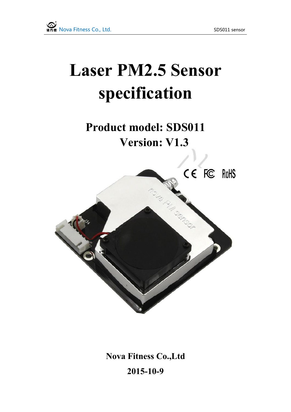# **Laser PM2.5 Sensor specification**

**Product model: SDS011 Version: V1.3**



**Nova Fitness Co.,Ltd 2015-10-9**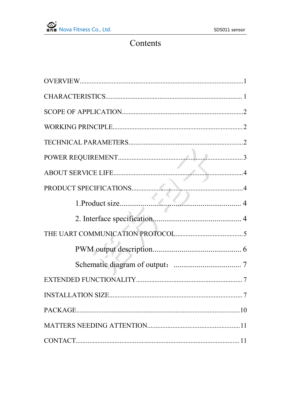#### Contents

| <b>INSTALLATION SIZE</b> |  |
|--------------------------|--|
|                          |  |
|                          |  |
|                          |  |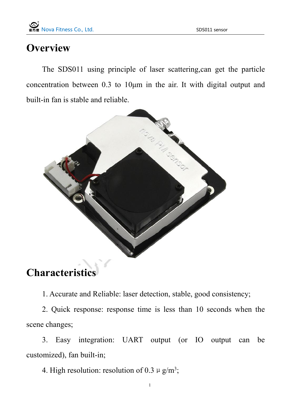#### <span id="page-2-0"></span>**Overview**

The SDS011 using principle of laser scattering,can get the particle concentration between 0.3 to 10μm in the air. It with digital output and built-in fan is stable and reliable.



#### **Characteristics**

1. Accurate and Reliable: laser detection, stable, good consistency;

2. Quick response: response time is less than 10 seconds when the scene changes;

3. Easy integration: UART output (or IO output can be customized), fan built-in;

4. High resolution: resolution of 0.3  $\mu$  g/m<sup>3</sup>;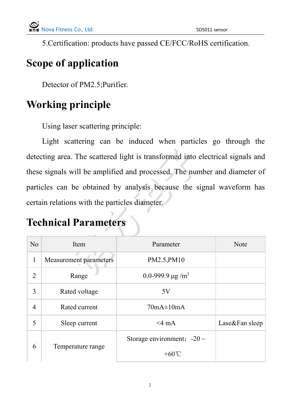<span id="page-3-0"></span>5.Certification: products have passed CE/FCC/RoHS certification.

## **Scope of application**

Detector of PM2.5;Purifier.

## **Working principle**

Using laser scattering principle:

Light scattering can be induced when particles go through the detecting area. The scattered light is transformed into electrical signals and these signals will be amplified and processed. The number and diameter of particles can be obtained by analysis because the signal waveform has certain relations with the particles diameter.

### **Technical Parameters**

| N <sub>o</sub>         | Item                          | Parameter                        | <b>Note</b>    |
|------------------------|-------------------------------|----------------------------------|----------------|
| $\mathbf{1}$           | <b>Measurement parameters</b> | PM2.5, PM10                      |                |
| $\overline{2}$         | Range                         | 0.0-999.9 $\mu$ g/m <sup>3</sup> |                |
| 3                      | Rated voltage                 | 5V                               |                |
| $\overline{4}$         | Rated current                 | $70mA \pm 10mA$                  |                |
| 5                      | Sleep current                 | $<$ 4 mA                         | Lase&Fan sleep |
|                        |                               | Storage environment: $-20 \sim$  |                |
| 6<br>Temperature range |                               | $+60^{\circ}$ C                  |                |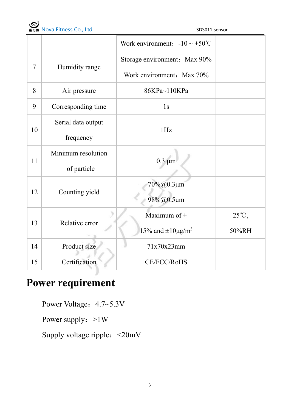

<span id="page-4-0"></span>

|                |                    | Work environment: $-10 \sim +50^{\circ}$ C |                |  |
|----------------|--------------------|--------------------------------------------|----------------|--|
|                |                    | Storage environment: Max 90%               |                |  |
| $\overline{7}$ | Humidity range     | Work environment: Max 70%                  |                |  |
| 8              | Air pressure       | 86KPa~110KPa                               |                |  |
| 9              | Corresponding time | 1s                                         |                |  |
|                | Serial data output | 1Hz                                        |                |  |
| 10             | frequency          |                                            |                |  |
| 11             | Minimum resolution | $0.3 \mu m$                                |                |  |
|                | of particle        |                                            |                |  |
| 12             | Counting yield     | $70\%$ @0.3 $\mu$ m                        |                |  |
|                |                    | 98%@0.5µm                                  |                |  |
| 13             | Relative error     | Maximum of $\pm$                           | $25^{\circ}C,$ |  |
|                |                    | 15% and $\pm 10 \mu g/m^3$                 | 50%RH          |  |
| 14             | Product size       | 71x70x23mm                                 |                |  |
| 15             | Certification      | CE/FCC/RoHS                                |                |  |

## **Power requirement**

Power Voltage:  $4.7 \sim 5.3$ V

Power supply:  $>1W$ 

Supply voltage ripple:<20mV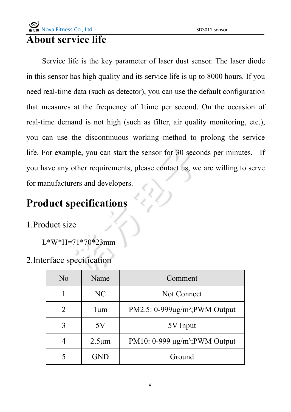#### <span id="page-5-1"></span><span id="page-5-0"></span>**About service life**

Service life is the key parameter of laser dust sensor. The laser diode in this sensor has high quality and its service life is up to 8000 hours. If you need real-time data (such as detector), you can use the default configuration that measures at the frequency of 1time per second. On the occasion of real-time demand is not high (such as filter, air quality monitoring, etc.), you can use the discontinuous working method to prolong the service life. For example, you can start the sensor for 30 seconds per minutes. If you have any other requirements, please contact us, we are willing to serve for manufacturers and developers.

#### **Product specifications**

1.Product size

L\*W\*H=71\*70\*23mm

2.Interface specification

| N <sub>o</sub> | Name        | Comment                              |  |
|----------------|-------------|--------------------------------------|--|
|                | NC          | Not Connect                          |  |
| $\overline{2}$ | l µm        | PM2.5: $0-999\mu g/m^3$ ; PWM Output |  |
| 3              | 5V          | 5V Input                             |  |
| $\overline{4}$ | $2.5 \mu m$ | PM10: $0-999 \mu g/m^3$ ; PWM Output |  |
|                | <b>GND</b>  | Ground                               |  |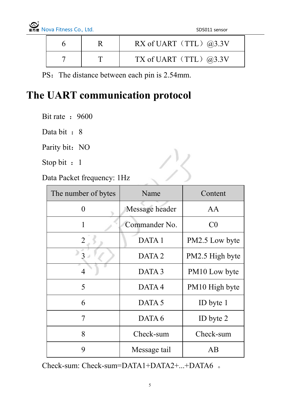<span id="page-6-0"></span>

|           | RX of UART (TTL) $@3.3V$    |
|-----------|-----------------------------|
| <b>TT</b> | TX of UART (TTL) $(2,3.3V)$ |

PS: The distance between each pin is 2.54mm.

#### **The UART communication protocol**

Bit rate : 9600

Data bit : 8

Parity bit: NO

Stop bit : 1

Data Packet frequency: 1Hz

| The number of bytes | Name              | Content         |
|---------------------|-------------------|-----------------|
| $\boldsymbol{0}$    | Message header    | AA              |
| 1                   | Commander No.     | C <sub>0</sub>  |
| $\overline{2}$      | DATA 1            | PM2.5 Low byte  |
| 3                   | DATA <sub>2</sub> | PM2.5 High byte |
| $\overline{4}$      | DATA <sub>3</sub> | PM10 Low byte   |
| 5                   | DATA4             | PM10 High byte  |
| 6                   | DATA 5            | ID byte 1       |
| 7                   | DATA 6            | ID byte 2       |
| 8                   | Check-sum         | Check-sum       |
| 9                   | Message tail      | AB              |

Check-sum: Check-sum=DATA1+DATA2+...+DATA6 。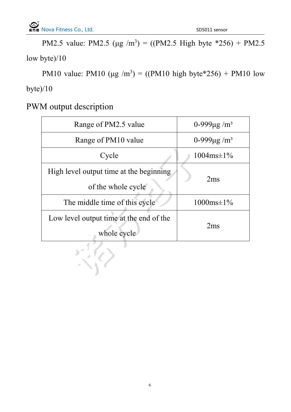<span id="page-7-0"></span>PM2.5 value: PM2.5 (μg /m<sup>3</sup>) = ((PM2.5 High byte \*256) + PM2.5 low byte)/10

PM10 value: PM10 (μg /m<sup>3</sup>) = ((PM10 high byte\*256) + PM10 low byte)/10

PWM output description

| Range of PM2.5 value                                          | 0-999 $\mu$ g/m <sup>3</sup> |
|---------------------------------------------------------------|------------------------------|
| Range of PM10 value                                           | 0-999 $\mu$ g/m <sup>3</sup> |
| Cycle                                                         | $1004ms \pm 1\%$             |
| High level output time at the beginning<br>of the whole cycle | 2ms                          |
| The middle time of this cycle                                 | $1000ms \pm 1\%$             |
| Low level output time at the end of the<br>whole cycle        | 2ms                          |
|                                                               |                              |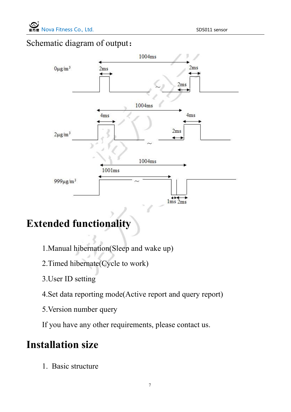#### <span id="page-8-0"></span>Schematic diagram of output:



## **Extended functionality**

- 1.Manual hibernation(Sleep and wake up)
- 2.Timed hibernate(Cycle to work)
- 3.User ID setting
- 4.Set data reporting mode(Active report and query report)
- 5.Version number query

If you have any other requirements, please contact us.

#### **Installation size**

1. Basic structure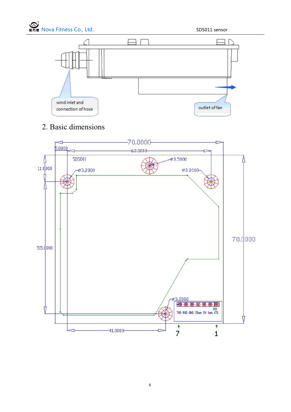

#### 2. Basic dimensions

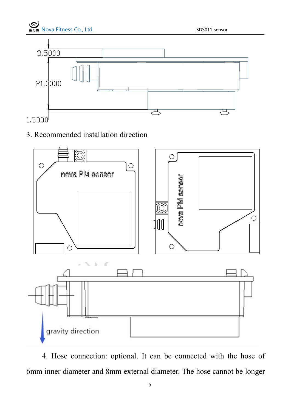

#### $1.5000$

#### 3. Recommended installation direction



4. Hose connection: optional. It can be connected with the hose of 6mm inner diameter and 8mm external diameter. The hose cannot be longer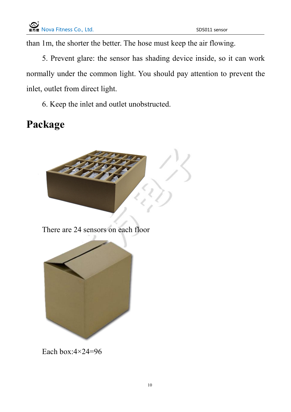<span id="page-11-0"></span>than 1m, the shorter the better. The hose must keep the air flowing.

5. Prevent glare: the sensor has shading device inside, so it can work normally under the common light. You should pay attention to prevent the inlet, outlet from direct light.

6. Keep the inlet and outlet unobstructed.

### **Package**



Each box: $4 \times 24 = 96$